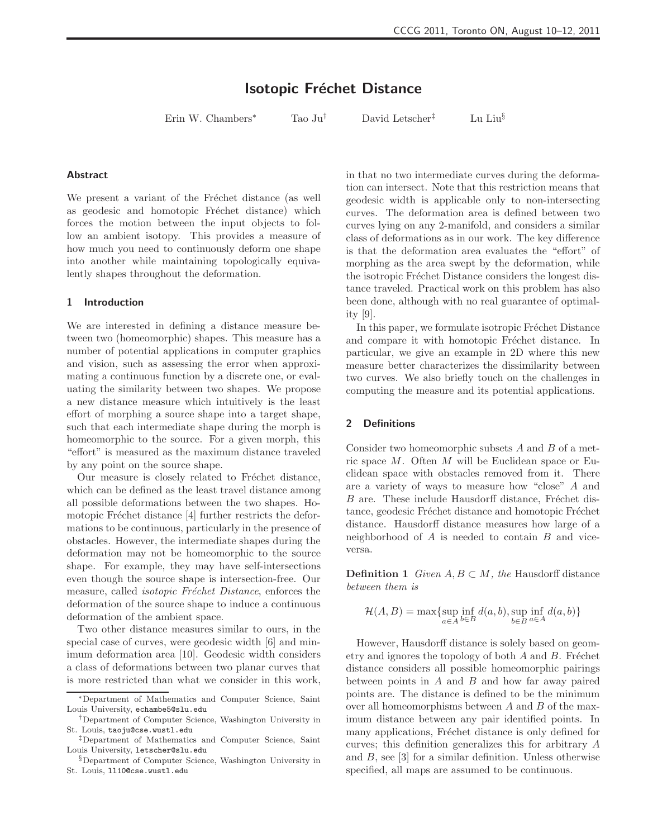# **Isotopic Fréchet Distance**

Erin W. Chambers<sup>∗</sup> Tao Ju† David Letscher‡ Lu Liu§

#### Abstract

We present a variant of the Fréchet distance (as well as geodesic and homotopic Fréchet distance) which forces the motion between the input objects to follow an ambient isotopy. This provides a measure of how much you need to continuously deform one shape into another while maintaining topologically equivalently shapes throughout the deformation.

## 1 Introduction

We are interested in defining a distance measure between two (homeomorphic) shapes. This measure has a number of potential applications in computer graphics and vision, such as assessing the error when approximating a continuous function by a discrete one, or evaluating the similarity between two shapes. We propose a new distance measure which intuitively is the least effort of morphing a source shape into a target shape, such that each intermediate shape during the morph is homeomorphic to the source. For a given morph, this "effort" is measured as the maximum distance traveled by any point on the source shape.

Our measure is closely related to Fréchet distance, which can be defined as the least travel distance among all possible deformations between the two shapes. Homotopic Fréchet distance [4] further restricts the deformations to be continuous, particularly in the presence of obstacles. However, the intermediate shapes during the deformation may not be homeomorphic to the source shape. For example, they may have self-intersections even though the source shape is intersection-free. Our measure, called *isotopic Fréchet Distance*, enforces the deformation of the source shape to induce a continuous deformation of the ambient space.

Two other distance measures similar to ours, in the special case of curves, were geodesic width [6] and minimum deformation area [10]. Geodesic width considers a class of deformations between two planar curves that is more restricted than what we consider in this work, in that no two intermediate curves during the deformation can intersect. Note that this restriction means that geodesic width is applicable only to non-intersecting curves. The deformation area is defined between two curves lying on any 2-manifold, and considers a similar class of deformations as in our work. The key difference is that the deformation area evaluates the "effort" of morphing as the area swept by the deformation, while the isotropic Fréchet Distance considers the longest distance traveled. Practical work on this problem has also been done, although with no real guarantee of optimality [9].

In this paper, we formulate isotropic Fréchet Distance and compare it with homotopic Fréchet distance. In particular, we give an example in 2D where this new measure better characterizes the dissimilarity between two curves. We also briefly touch on the challenges in computing the measure and its potential applications.

# 2 Definitions

Consider two homeomorphic subsets A and B of a metric space M. Often M will be Euclidean space or Euclidean space with obstacles removed from it. There are a variety of ways to measure how "close" A and  $B$  are. These include Hausdorff distance, Fréchet distance, geodesic Fréchet distance and homotopic Fréchet distance. Hausdorff distance measures how large of a neighborhood of A is needed to contain B and viceversa.

**Definition 1** Given  $A, B \subset M$ , the Hausdorff distance between them is

$$
\mathcal{H}(A, B) = \max \{ \sup_{a \in A} \inf_{b \in B} d(a, b), \sup_{b \in B} \inf_{a \in A} d(a, b) \}
$$

However, Hausdorff distance is solely based on geometry and ignores the topology of both  $A$  and  $B$ . Fréchet distance considers all possible homeomorphic pairings between points in  $A$  and  $B$  and how far away paired points are. The distance is defined to be the minimum over all homeomorphisms between A and B of the maximum distance between any pair identified points. In many applications, Fréchet distance is only defined for curves; this definition generalizes this for arbitrary A and  $B$ , see [3] for a similar definition. Unless otherwise specified, all maps are assumed to be continuous.

<sup>∗</sup>Department of Mathematics and Computer Science, Saint Louis University, echambe5@slu.edu

<sup>†</sup>Department of Computer Science, Washington University in St. Louis, taoju@cse.wustl.edu

<sup>‡</sup>Department of Mathematics and Computer Science, Saint Louis University, letscher@slu.edu

<sup>§</sup>Department of Computer Science, Washington University in St. Louis, ll10@cse.wustl.edu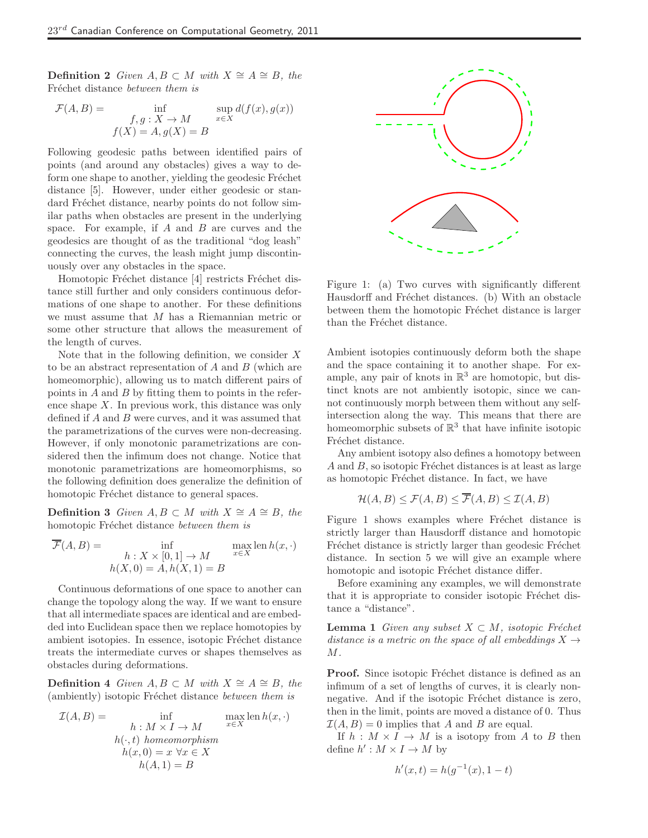**Definition 2** Given  $A, B \subset M$  with  $X \cong A \cong B$ , the Fréchet distance between them is

$$
\mathcal{F}(A,B) = \inf_{\begin{array}{c} f,g: X \to M \\ f(X) = A, g(X) = B \end{array}} \sup_{x \in X} d(f(x), g(x))
$$

Following geodesic paths between identified pairs of points (and around any obstacles) gives a way to deform one shape to another, yielding the geodesic Fréchet distance [5]. However, under either geodesic or standard Fréchet distance, nearby points do not follow similar paths when obstacles are present in the underlying space. For example, if  $A$  and  $B$  are curves and the geodesics are thought of as the traditional "dog leash" connecting the curves, the leash might jump discontinuously over any obstacles in the space.

Homotopic Fréchet distance [4] restricts Fréchet distance still further and only considers continuous deformations of one shape to another. For these definitions we must assume that M has a Riemannian metric or some other structure that allows the measurement of the length of curves.

Note that in the following definition, we consider  $X$ to be an abstract representation of  $A$  and  $B$  (which are homeomorphic), allowing us to match different pairs of points in  $A$  and  $B$  by fitting them to points in the reference shape  $X$ . In previous work, this distance was only defined if A and B were curves, and it was assumed that the parametrizations of the curves were non-decreasing. However, if only monotonic parametrizations are considered then the infimum does not change. Notice that monotonic parametrizations are homeomorphisms, so the following definition does generalize the definition of homotopic Fréchet distance to general spaces.

**Definition 3** Given  $A, B \subset M$  with  $X \cong A \cong B$ , the homotopic Fréchet distance between them is

$$
\overline{\mathcal{F}}(A,B) = \inf_{\begin{array}{l} h: X \times [0,1] \to M \\ h(X,0) = A, h(X,1) = B \end{array}} \max_{x \in X} \operatorname{len} h(x,\cdot)
$$

Continuous deformations of one space to another can change the topology along the way. If we want to ensure that all intermediate spaces are identical and are embedded into Euclidean space then we replace homotopies by ambient isotopies. In essence, isotopic Fréchet distance treats the intermediate curves or shapes themselves as obstacles during deformations.

**Definition 4** Given  $A, B \subset M$  with  $X \cong A \cong B$ , the  $(ambiently)$  isotopic Fréchet distance between them is

$$
\mathcal{I}(A, B) = \inf_{\begin{subarray}{l} h: M \times I \to M \\ h(\cdot, t) \text{ homeomorphism} \\ h(x, 0) = x \ \forall x \in X \\ h(A, 1) = B \end{subarray}} \frac{\max \operatorname{len} h(x, \cdot)}{\operatorname{len} x}
$$



Figure 1: (a) Two curves with significantly different Hausdorff and Fréchet distances. (b) With an obstacle between them the homotopic Fréchet distance is larger than the Fréchet distance.

Ambient isotopies continuously deform both the shape and the space containing it to another shape. For example, any pair of knots in  $\mathbb{R}^3$  are homotopic, but distinct knots are not ambiently isotopic, since we cannot continuously morph between them without any selfintersection along the way. This means that there are homeomorphic subsets of  $\mathbb{R}^3$  that have infinite isotopic Fréchet distance.

Any ambient isotopy also defines a homotopy between  $A$  and  $B$ , so isotopic Fréchet distances is at least as large as homotopic Fréchet distance. In fact, we have

$$
\mathcal{H}(A, B) \le \mathcal{F}(A, B) \le \overline{\mathcal{F}}(A, B) \le \mathcal{I}(A, B)
$$

Figure 1 shows examples where Fréchet distance is strictly larger than Hausdorff distance and homotopic Fréchet distance is strictly larger than geodesic Fréchet distance. In section 5 we will give an example where homotopic and isotopic Fréchet distance differ.

Before examining any examples, we will demonstrate that it is appropriate to consider isotopic Fréchet distance a "distance".

**Lemma 1** Given any subset  $X \subset M$ , isotopic Fréchet distance is a metric on the space of all embeddings  $X \rightarrow$  $M$ .

**Proof.** Since isotopic Fréchet distance is defined as an infimum of a set of lengths of curves, it is clearly nonnegative. And if the isotopic Fréchet distance is zero, then in the limit, points are moved a distance of 0. Thus  $\mathcal{I}(A, B) = 0$  implies that A and B are equal.

If  $h : M \times I \to M$  is a isotopy from A to B then define  $h': M \times I \to M$  by

$$
h'(x,t) = h(g^{-1}(x), 1-t)
$$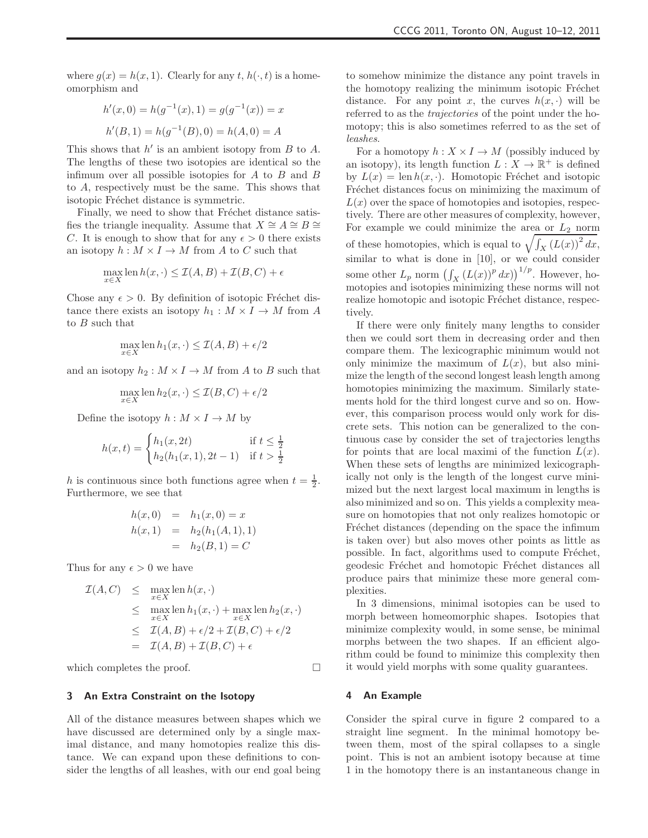where  $g(x) = h(x, 1)$ . Clearly for any t,  $h(\cdot, t)$  is a homeomorphism and

$$
h'(x, 0) = h(g^{-1}(x), 1) = g(g^{-1}(x)) = x
$$
  

$$
h'(B, 1) = h(g^{-1}(B), 0) = h(A, 0) = A
$$

This shows that  $h'$  is an ambient isotopy from  $B$  to  $A$ . The lengths of these two isotopies are identical so the infimum over all possible isotopies for  $A$  to  $B$  and  $B$ to A, respectively must be the same. This shows that isotopic Fréchet distance is symmetric.

Finally, we need to show that Fréchet distance satisfies the triangle inequality. Assume that  $X \cong A \cong B \cong \mathbb{Z}$ C. It is enough to show that for any  $\epsilon > 0$  there exists an isotopy  $h : M \times I \to M$  from A to C such that

$$
\max_{x \in X} \operatorname{len} h(x, \cdot) \le \mathcal{I}(A, B) + \mathcal{I}(B, C) + \epsilon
$$

Chose any  $\epsilon > 0$ . By definition of isotopic Fréchet distance there exists an isotopy  $h_1 : M \times I \to M$  from A to B such that

$$
\max_{x \in X} \operatorname{len} h_1(x, \cdot) \le \mathcal{I}(A, B) + \epsilon/2
$$

and an isotopy  $h_2 : M \times I \to M$  from A to B such that

$$
\max_{x \in X} \operatorname{len} h_2(x, \cdot) \le \mathcal{I}(B, C) + \epsilon/2
$$

Define the isotopy  $h : M \times I \to M$  by

$$
h(x,t) = \begin{cases} h_1(x, 2t) & \text{if } t \leq \frac{1}{2} \\ h_2(h_1(x, 1), 2t - 1) & \text{if } t > \frac{1}{2} \end{cases}
$$

h is continuous since both functions agree when  $t = \frac{1}{2}$ . Furthermore, we see that

$$
h(x, 0) = h_1(x, 0) = x
$$
  
\n
$$
h(x, 1) = h_2(h_1(A, 1), 1)
$$
  
\n
$$
= h_2(B, 1) = C
$$

Thus for any  $\epsilon > 0$  we have

$$
\mathcal{I}(A, C) \leq \max_{x \in X} \operatorname{len} h(x, \cdot)
$$
\n
$$
\leq \max_{x \in X} \operatorname{len} h_1(x, \cdot) + \max_{x \in X} \operatorname{len} h_2(x, \cdot)
$$
\n
$$
\leq \mathcal{I}(A, B) + \epsilon/2 + \mathcal{I}(B, C) + \epsilon/2
$$
\n
$$
= \mathcal{I}(A, B) + \mathcal{I}(B, C) + \epsilon
$$

which completes the proof.  $\Box$ 

# 3 An Extra Constraint on the Isotopy

All of the distance measures between shapes which we have discussed are determined only by a single maximal distance, and many homotopies realize this distance. We can expand upon these definitions to consider the lengths of all leashes, with our end goal being to somehow minimize the distance any point travels in the homotopy realizing the minimum isotopic Fréchet distance. For any point x, the curves  $h(x, \cdot)$  will be referred to as the trajectories of the point under the homotopy; this is also sometimes referred to as the set of leashes.

For a homotopy  $h: X \times I \to M$  (possibly induced by an isotopy), its length function  $L: X \to \mathbb{R}^+$  is defined by  $L(x) = \text{len } h(x, \cdot)$ . Homotopic Fréchet and isotopic Fréchet distances focus on minimizing the maximum of  $L(x)$  over the space of homotopies and isotopies, respectively. There are other measures of complexity, however, For example we could minimize the area or  $L_2$  norm of these homotopies, which is equal to  $\sqrt{\int_X (L(x))^2 dx}$ , similar to what is done in [10], or we could consider some other  $L_p$  norm  $\left(\int_X (L(x))^p dx\right)^{1/p}$ . However, homotopies and isotopies minimizing these norms will not realize homotopic and isotopic Fréchet distance, respectively.

If there were only finitely many lengths to consider then we could sort them in decreasing order and then compare them. The lexicographic minimum would not only minimize the maximum of  $L(x)$ , but also minimize the length of the second longest leash length among homotopies minimizing the maximum. Similarly statements hold for the third longest curve and so on. However, this comparison process would only work for discrete sets. This notion can be generalized to the continuous case by consider the set of trajectories lengths for points that are local maximi of the function  $L(x)$ . When these sets of lengths are minimized lexicographically not only is the length of the longest curve minimized but the next largest local maximum in lengths is also minimized and so on. This yields a complexity measure on homotopies that not only realizes homotopic or Fréchet distances (depending on the space the infimum is taken over) but also moves other points as little as possible. In fact, algorithms used to compute Fréchet, geodesic Fréchet and homotopic Fréchet distances all produce pairs that minimize these more general complexities.

In 3 dimensions, minimal isotopies can be used to morph between homeomorphic shapes. Isotopies that minimize complexity would, in some sense, be minimal morphs between the two shapes. If an efficient algorithm could be found to minimize this complexity then it would yield morphs with some quality guarantees.

#### 4 An Example

Consider the spiral curve in figure 2 compared to a straight line segment. In the minimal homotopy between them, most of the spiral collapses to a single point. This is not an ambient isotopy because at time 1 in the homotopy there is an instantaneous change in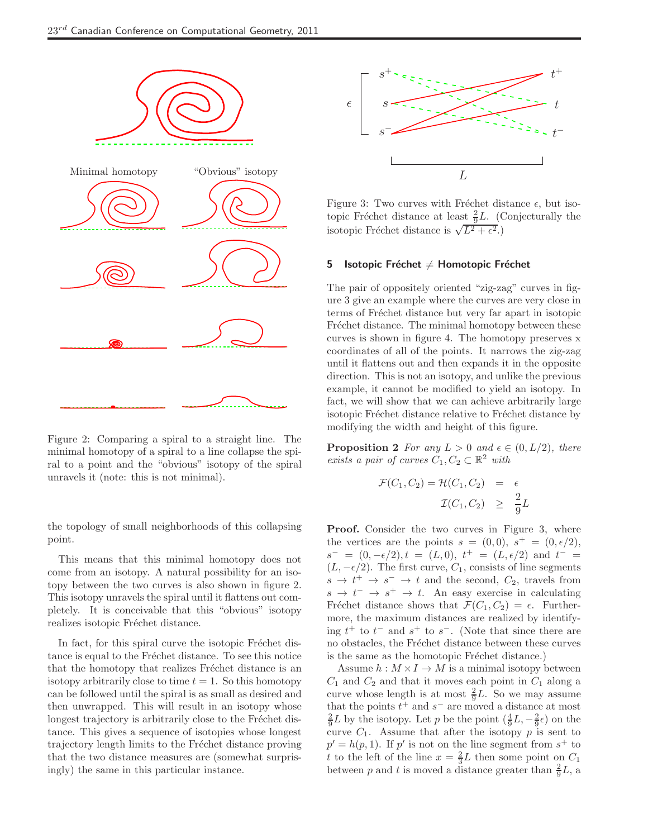

Figure 2: Comparing a spiral to a straight line. The minimal homotopy of a spiral to a line collapse the spiral to a point and the "obvious" isotopy of the spiral unravels it (note: this is not minimal).

the topology of small neighborhoods of this collapsing point.

This means that this minimal homotopy does not come from an isotopy. A natural possibility for an isotopy between the two curves is also shown in figure 2. This isotopy unravels the spiral until it flattens out completely. It is conceivable that this "obvious" isotopy realizes isotopic Fréchet distance.

In fact, for this spiral curve the isotopic Fréchet distance is equal to the Fréchet distance. To see this notice that the homotopy that realizes Fréchet distance is an isotopy arbitrarily close to time  $t = 1$ . So this homotopy can be followed until the spiral is as small as desired and then unwrapped. This will result in an isotopy whose longest trajectory is arbitrarily close to the Fréchet distance. This gives a sequence of isotopies whose longest trajectory length limits to the Fréchet distance proving that the two distance measures are (somewhat surprisingly) the same in this particular instance.



Figure 3: Two curves with Fréchet distance  $\epsilon$ , but isotopic Fréchet distance at least  $\frac{2}{9}L$ . (Conjecturally the isotopic Fréchet distance is  $\sqrt{L^2 + \epsilon^2}$ .

#### 5 Isotopic Fréchet  $\neq$  Homotopic Fréchet

The pair of oppositely oriented "zig-zag" curves in figure 3 give an example where the curves are very close in terms of Fréchet distance but very far apart in isotopic Fréchet distance. The minimal homotopy between these curves is shown in figure 4. The homotopy preserves x coordinates of all of the points. It narrows the zig-zag until it flattens out and then expands it in the opposite direction. This is not an isotopy, and unlike the previous example, it cannot be modified to yield an isotopy. In fact, we will show that we can achieve arbitrarily large isotopic Fréchet distance relative to Fréchet distance by modifying the width and height of this figure.

**Proposition 2** For any  $L > 0$  and  $\epsilon \in (0, L/2)$ , there exists a pair of curves  $C_1, C_2 \subset \mathbb{R}^2$  with

$$
\mathcal{F}(C_1, C_2) = \mathcal{H}(C_1, C_2) = \epsilon
$$
  

$$
\mathcal{I}(C_1, C_2) \geq \frac{2}{9}L
$$

Proof. Consider the two curves in Figure 3, where the vertices are the points  $s = (0,0), s^+ = (0, \epsilon/2),$  $s^- = (0, -\epsilon/2), t = (L, 0), t^+ = (L, \epsilon/2)$  and  $t^- =$  $(L, -\epsilon/2)$ . The first curve,  $C_1$ , consists of line segments  $s \to t^+ \to s^- \to t$  and the second,  $C_2$ , travels from  $s \to t^- \to s^+ \to t$ . An easy exercise in calculating Fréchet distance shows that  $\mathcal{F}(C_1, C_2) = \epsilon$ . Furthermore, the maximum distances are realized by identifying  $t^+$  to  $t^-$  and  $s^+$  to  $s^-$ . (Note that since there are no obstacles, the Fréchet distance between these curves is the same as the homotopic Fréchet distance.)

Assume  $h : M \times I \to M$  is a minimal isotopy between  $C_1$  and  $C_2$  and that it moves each point in  $C_1$  along a curve whose length is at most  $\frac{2}{9}L$ . So we may assume that the points  $t^+$  and  $s^-$  are moved a distance at most  $\frac{2}{9}L$  by the isotopy. Let p be the point  $(\frac{4}{9}L, -\frac{2}{9}\epsilon)$  on the curve  $C_1$ . Assume that after the isotopy  $p$  is sent to  $p' = h(p, 1)$ . If p' is not on the line segment from  $s^+$  to t to the left of the line  $x = \frac{2}{3}L$  then some point on  $C_1$ between p and t is moved a distance greater than  $\frac{2}{9}L$ , a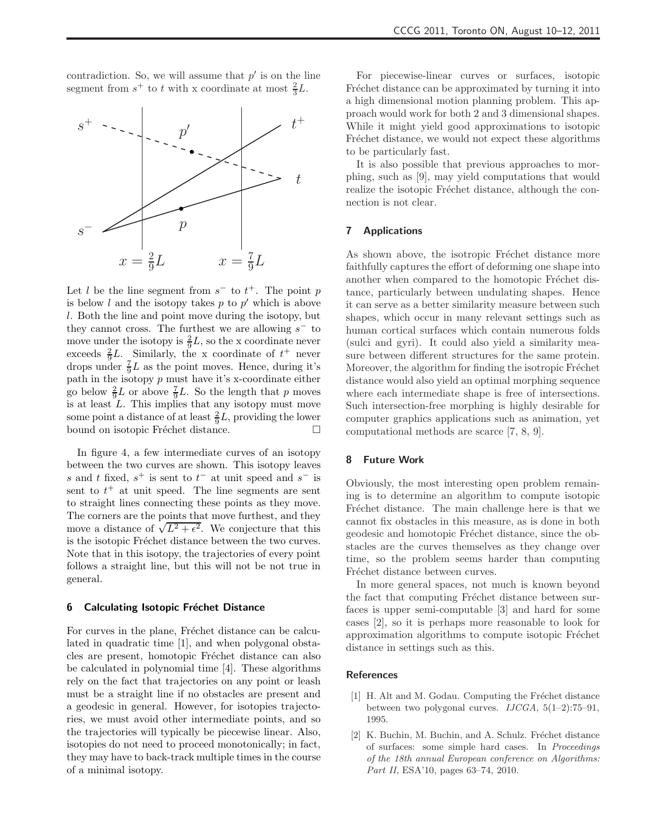contradiction. So, we will assume that  $p'$  is on the line segment from  $s^+$  to t with x coordinate at most  $\frac{2}{3}L$ .



Let l be the line segment from  $s^-$  to  $t^+$ . The point p is below  $l$  and the isotopy takes  $p$  to  $p'$  which is above l. Both the line and point move during the isotopy, but they cannot cross. The furthest we are allowing  $s^-$  to move under the isotopy is  $\frac{2}{9}L$ , so the x coordinate never exceeds  $\frac{2}{9}L$ . Similarly, the x coordinate of  $t^+$  never drops under  $\frac{7}{9}L$  as the point moves. Hence, during it's path in the isotopy  $p$  must have it's x-coordinate either go below  $\frac{2}{9}L$  or above  $\frac{7}{9}L$ . So the length that p moves is at least L. This implies that any isotopy must move some point a distance of at least  $\frac{2}{9}L$ , providing the lower bound on isotopic Fréchet distance.  $\Box$ 

In figure 4, a few intermediate curves of an isotopy between the two curves are shown. This isotopy leaves s and t fixed,  $s^+$  is sent to  $t^-$  at unit speed and  $s^-$  is sent to  $t^+$  at unit speed. The line segments are sent to straight lines connecting these points as they move. The corners are the points that move furthest, and they move a distance of  $\sqrt{L^2 + \epsilon^2}$ . We conjecture that this is the isotopic Fréchet distance between the two curves. Note that in this isotopy, the trajectories of every point follows a straight line, but this will not be not true in general.

#### 6 Calculating Isotopic Fréchet Distance

For curves in the plane, Fréchet distance can be calculated in quadratic time [1], and when polygonal obstacles are present, homotopic Fréchet distance can also be calculated in polynomial time [4]. These algorithms rely on the fact that trajectories on any point or leash must be a straight line if no obstacles are present and a geodesic in general. However, for isotopies trajectories, we must avoid other intermediate points, and so the trajectories will typically be piecewise linear. Also, isotopies do not need to proceed monotonically; in fact, they may have to back-track multiple times in the course of a minimal isotopy.

For piecewise-linear curves or surfaces, isotopic Fréchet distance can be approximated by turning it into a high dimensional motion planning problem. This approach would work for both 2 and 3 dimensional shapes. While it might yield good approximations to isotopic Fréchet distance, we would not expect these algorithms to be particularly fast.

It is also possible that previous approaches to morphing, such as [9], may yield computations that would realize the isotopic Fréchet distance, although the connection is not clear.

#### 7 Applications

As shown above, the isotropic Fréchet distance more faithfully captures the effort of deforming one shape into another when compared to the homotopic Fréchet distance, particularly between undulating shapes. Hence it can serve as a better similarity measure between such shapes, which occur in many relevant settings such as human cortical surfaces which contain numerous folds (sulci and gyri). It could also yield a similarity measure between different structures for the same protein. Moreover, the algorithm for finding the isotropic Fréchet distance would also yield an optimal morphing sequence where each intermediate shape is free of intersections. Such intersection-free morphing is highly desirable for computer graphics applications such as animation, yet computational methods are scarce [7, 8, 9].

## 8 Future Work

Obviously, the most interesting open problem remaining is to determine an algorithm to compute isotopic Fréchet distance. The main challenge here is that we cannot fix obstacles in this measure, as is done in both geodesic and homotopic Fréchet distance, since the obstacles are the curves themselves as they change over time, so the problem seems harder than computing Fréchet distance between curves.

In more general spaces, not much is known beyond the fact that computing Fréchet distance between surfaces is upper semi-computable [3] and hard for some cases [2], so it is perhaps more reasonable to look for approximation algorithms to compute isotopic Fréchet distance in settings such as this.

## References

- [1] H. Alt and M. Godau. Computing the Fréchet distance between two polygonal curves. *IJCGA*, 5(1–2):75–91, 1995.
- [2] K. Buchin, M. Buchin, and A. Schulz. Fréchet distance of surfaces: some simple hard cases. In *Proceedings of the 18th annual European conference on Algorithms: Part II*, ESA'10, pages 63–74, 2010.